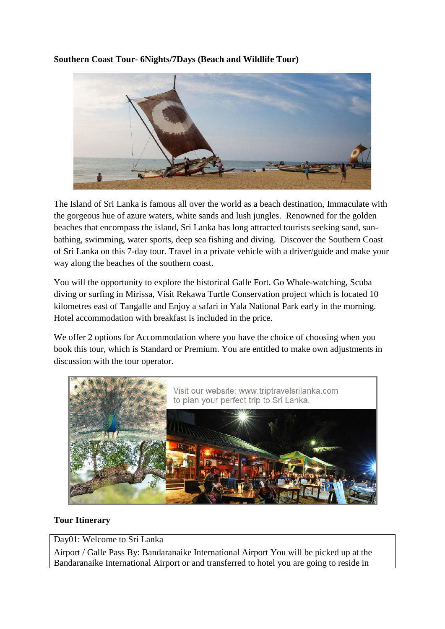**Southern Coast Tour- 6Nights/7Days (Beach and Wildlife Tour)**



The Island of Sri Lanka is famous all over the world as a beach destination, Immaculate with the gorgeous hue of azure waters, white sands and lush jungles. Renowned for the golden beaches that encompass the island, Sri Lanka has long attracted tourists seeking sand, sunbathing, swimming, water sports, deep sea fishing and diving. Discover the Southern Coast of Sri Lanka on this 7-day tour. Travel in a private vehicle with a driver/guide and make your way along the beaches of the southern coast.

You will the opportunity to explore the historical Galle Fort. Go Whale-watching, Scuba diving or surfing in Mirissa, Visit Rekawa Turtle Conservation project which is located 10 kilometres east of Tangalle and Enjoy a safari in Yala National Park early in the morning. Hotel accommodation with breakfast is included in the price.

We offer 2 options for Accommodation where you have the choice of choosing when you book this tour, which is Standard or Premium. You are entitled to make own adjustments in discussion with the tour operator.



## **Tour Itinerary**

Day01: Welcome to Sri Lanka

Airport / Galle Pass By: Bandaranaike International Airport You will be picked up at the Bandaranaike International Airport or and transferred to hotel you are going to reside in